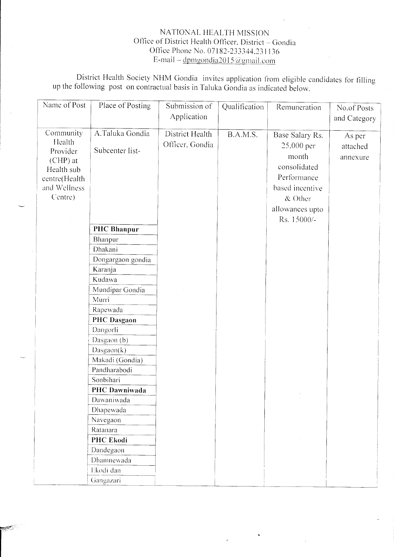## NATIONAL HEALTH MISSION Office of District Health Officer, District - Gondia Office Phone No. 07182-233344.231136 E-mail – dpmgondia2015@gmail.com

District Health Society NHM Gondia invites application from eligible candidates for filling up the following post on contractual basis in Taluka Gondia as indicated below.

| Name of Post                                                                                            | Place of Posting                                                                      | Submission of<br>Application       | Qualification | Remuneration                                                                                                                            | No.of Posts<br>and Category    |
|---------------------------------------------------------------------------------------------------------|---------------------------------------------------------------------------------------|------------------------------------|---------------|-----------------------------------------------------------------------------------------------------------------------------------------|--------------------------------|
| Community<br>Health<br>Provider<br>$(CHP)$ at<br>Health sub<br>centre(Health<br>and Wellness<br>Centre) | A.Taluka Gondia<br>Subcenter list-                                                    | District Health<br>Officer, Gondia | B.A.M.S.      | Base Salary Rs.<br>25,000 per<br>month<br>consolidated<br>Performance<br>based incentive<br>$&$ Other<br>allowances upto<br>Rs. 15000/- | As per<br>attached<br>annexure |
|                                                                                                         | <b>PHC Bhanpur</b><br>Bhanpur<br>Dhakani<br>Dongargaon gondia<br>Karanja<br>Kudawa    |                                    |               |                                                                                                                                         |                                |
|                                                                                                         | Mundipar Gondia<br>Murri<br>Rapewada<br><b>PHC</b> Dasgaon<br>Dangorli<br>Dasgaon (b) |                                    |               |                                                                                                                                         |                                |
|                                                                                                         | Dasgaon(k)<br>Makadi (Gondia)<br>Pandharabodi<br>Sonbihari<br>PHC Dawniwada           |                                    |               |                                                                                                                                         |                                |
|                                                                                                         | Dawaniwada<br>Dhapewada<br>Navegaon<br>Ratanara                                       |                                    |               |                                                                                                                                         |                                |
|                                                                                                         | PHC Ekodi<br>Dandegaon<br>Dhamnewada<br>Ekodi dan<br>Gangazari                        |                                    |               |                                                                                                                                         |                                |

**RANGER**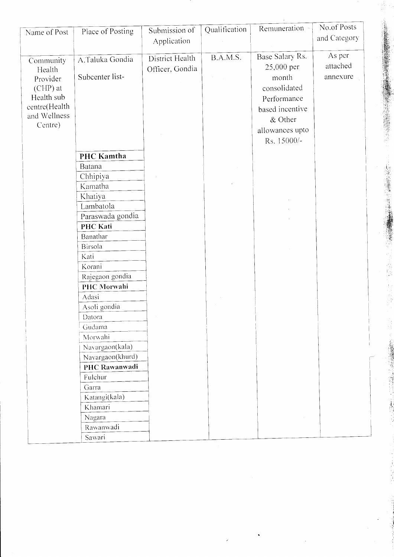| Name of Post            | Place of Posting     | Submission of<br>Application | Qualification | Remuneration -        | No.of Posts<br>and Category |
|-------------------------|----------------------|------------------------------|---------------|-----------------------|-----------------------------|
| Community               | A.Taluka Gondia      | District Health              | B.A.M.S.      | Base Salary Rs.       | As per                      |
| Health                  | Subcenter list-      | Officer, Gondia              |               | 25,000 per            | attached<br>annexure        |
| Provider<br>$(CHP)$ at  |                      |                              |               | month<br>consolidated |                             |
| Health sub              |                      |                              |               | Performance           |                             |
| centre(Health           |                      |                              |               | based incentive       |                             |
| and Wellness<br>Centre) |                      |                              |               | & Other               |                             |
|                         |                      |                              |               | allowances upto       |                             |
|                         |                      |                              |               | Rs. 15000/-           |                             |
|                         | PHC Kamtha           |                              |               |                       |                             |
|                         | Batana               |                              |               |                       |                             |
|                         | Chhipiya             |                              |               |                       |                             |
|                         | Kamatha              |                              |               |                       |                             |
|                         | Khatiya<br>Lambatola |                              |               |                       |                             |
|                         | Paraswada gondia     |                              |               |                       |                             |
|                         | <b>PHC Kati</b>      |                              |               |                       |                             |
|                         | Banathar             |                              |               |                       |                             |
|                         | Birsola              |                              |               |                       |                             |
|                         | Kati                 |                              |               |                       |                             |
|                         | Korani               |                              |               |                       |                             |
|                         | Rajegaon gondia      |                              |               |                       |                             |
|                         | PHC Morwahi<br>Adasi |                              |               |                       |                             |
|                         | Asoli gondia         |                              |               |                       |                             |
|                         | Datora               |                              |               |                       |                             |
|                         | Gudama               |                              |               |                       |                             |
|                         | Morwahi              |                              |               |                       |                             |
|                         | Navargaon(kala)      |                              |               |                       |                             |
|                         | Navargaon(khurd)     |                              |               |                       |                             |
|                         | PHC Rawanwadi        |                              |               |                       |                             |
|                         | Fulchur<br>Garra     |                              |               |                       |                             |
|                         | Katangi(kala)        |                              |               |                       |                             |
|                         | Khamari              |                              |               |                       |                             |
|                         | Nagara               |                              |               |                       |                             |
|                         | Rawanwadi            |                              |               |                       |                             |
|                         | Sawari               |                              |               |                       |                             |

 $\ddot{\phantom{0}}$ 

 $\mathbf{r}$ 

「このことは、このことは、このことは、このことは、このことは、このことは、このことは、このことは、このことは、このことは、このことは、このことは、このことは、このことは、このことは、このことは、このこ このことは、このことは、このことは、このことは、このことは、このことは、このことは、このことは、このことは、このことは、このことは、このことは、このことは、このことは、このことは、このことは、このことは、このことは、このことは、このことは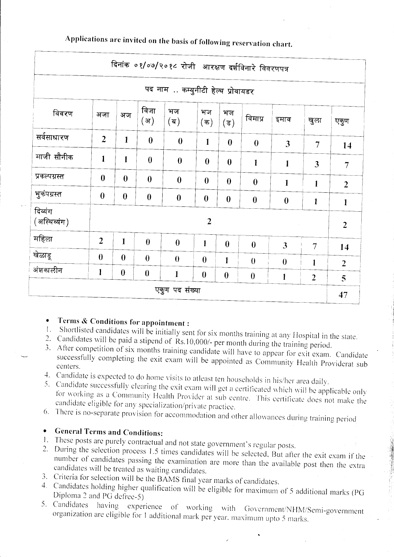| दिनांक ०१/०७/२०१८ रोजी आरक्षण दर्शविनारे विवरणपत्र |                  |                  |                  |                                   |                        |                        |                  |                  |                |                |
|----------------------------------------------------|------------------|------------------|------------------|-----------------------------------|------------------------|------------------------|------------------|------------------|----------------|----------------|
|                                                    |                  |                  |                  | पद नाम  कम्युनीटी हेल्थ प्रोवायडर |                        |                        |                  |                  |                |                |
| विवरण                                              | अजा              | अज               | विजा<br>(अ)      | भज<br>(ब)                         | भज<br>$(\overline{a})$ | भज<br>$(\overline{s})$ | विमाप्र          | इमाव             | खुला           | एकुण           |
| सर्वसाधारण                                         | $\overline{2}$   | $\mathbf{1}$     | $\boldsymbol{0}$ | $\boldsymbol{0}$                  | $\mathbf{1}$           | $\boldsymbol{0}$       | $\bf{0}$         | 3                | $\overline{7}$ | 14             |
| माजी सौनीक                                         | $\mathbf{1}$     | 1                | $\boldsymbol{0}$ | $\boldsymbol{0}$                  | $\boldsymbol{0}$       | $\boldsymbol{0}$       | $\mathbf{1}$     | $\mathbf{1}$     | $\overline{3}$ | $\overline{7}$ |
| प्रकल्पग्रस्त                                      | $\bf{0}$         | $\boldsymbol{0}$ | $\boldsymbol{0}$ | $\bf{0}$                          | $\boldsymbol{0}$       | $\boldsymbol{0}$       | $\bf{0}$         | $\mathbf{1}$     | $\mathbf{1}$   | $\overline{2}$ |
| भुकंपग्रस्त                                        | $\boldsymbol{0}$ | $\boldsymbol{0}$ | $\boldsymbol{0}$ | $\boldsymbol{0}$                  | $\boldsymbol{0}$       | $\boldsymbol{0}$       | $\boldsymbol{0}$ | $\bf{0}$         | $\mathbf{1}$   | $\mathbf{1}$   |
| दिव्यंग<br>(अस्थिव्यंग)                            |                  | $\overline{2}$   |                  |                                   |                        |                        |                  | $\overline{2}$   |                |                |
| महिला                                              | $\overline{2}$   | $\mathbf{1}$     | $\boldsymbol{0}$ | $\theta$                          | 1                      | $\bf{0}$               | $\boldsymbol{0}$ | $\overline{3}$   | 7              | 14             |
| खेळाडू                                             | $\boldsymbol{0}$ | $\boldsymbol{0}$ | $\boldsymbol{0}$ | $\theta$                          | $\boldsymbol{0}$       | 1                      | $\boldsymbol{0}$ | $\boldsymbol{0}$ | 1              | $\overline{2}$ |
| अंशकालीन                                           | 1                | $\boldsymbol{0}$ | $\bf{0}$         | 1                                 | $\boldsymbol{0}$       | $\boldsymbol{0}$       | $\boldsymbol{0}$ | 1                | $\overline{2}$ | 5              |
| एकुण पद संख्या                                     |                  |                  |                  |                                   |                        |                        | 47               |                  |                |                |

Applications are invited on the basis of following reservation chart.

## Terms & Conditions for appointment :

- 1. Shortlisted candidates will be initially sent for six months training at any Hospital in the state.
- 2. Candidates will be paid a stipend of Rs.10,000/- per month during the training period.
- 3. After competition of six months training candidate will have to appear for exit exam. Candidate successfully completing the exit exam will be appointed as Community Health Providerat sub centers.
- 4. Candidate is expected to do home visits to atleast ten households in his/her area daily.
- 5. Candidate successfully clearing the exit exam will get a certificated which will be applicable only for working as a Community Health Provider at sub centre. This certificate does not make the candidate eligible for any specialization/private practice.
- 6. There is no-separate provision for accommodation and other allowances during training period

## • General Terms and Conditions:

- 1. These posts are purely contractual and not state government's regular posts.
- 2. During the selection process 1.5 times candidates will be selected, But after the exit exam if the number of candidates passing the examination are more than the available post then the extra candidates will be treated as waiting candidates.
- 3. Criteria for selection will be the BAMS final year marks of candidates.
- 4. Candidates holding higher qualification will be eligible for maximum of 5 additional marks (PG Diploma 2 and PG defree-5)
- 5. Candidates having experience of working with Government/NHM/Semi-government organization are eligible for 1 additional mark per year, maximum upto 5 marks.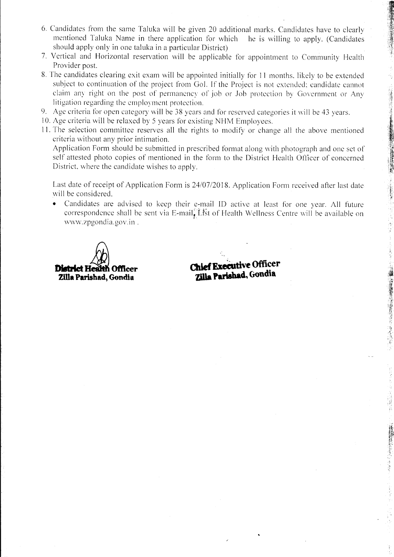6. Candidates from the same Taluka will be given 20 additional marks. Candidates have to clearly mentioned Taluka Name in there application for which he is willing to apply. (Candidates should apply only in one taluka in a particular District)

清算 (事) 重け

- 7. Vertical and Horizontal reservation will be applicable for appointment to Community Health Provider post.
- 8. The candidates clearing exit exam will be appointed initially for 11 months, likely to be extended subject to continuation of the project from Gol. If the Project is not extended; candidate cannot claim any right on the post of permanency of job or Job protection by Government or Any litigation regarding the employment protection.
- 9. Age criteria for open category will be 38 years and for reserved categories it will be 43 years.
- 10. Age criteria will be relaxed by 5 years for existing NHM Employees.
- 11. The selection committee reserves all the rights to modify or change all the above mentioned criteria without any prior intimation.

Application Form should be submitted in prescribed format along with photograph and one set of self attested photo copies of mentioned in the form to the District Health Officer of concerned District, where the candidate wishes to apply.

Last date of receipt of Application Form is 24/07/2018. Application Form received after last date will be considered.

• Candidates are advised to keep their e-mail ID active at least for one year. All future correspondence shall be sent via E-mail. List of Health Wellness Centre will be available on www.zpgondia.gov.in.



**Chief Executive Officer** Zilla Parishad, Gondia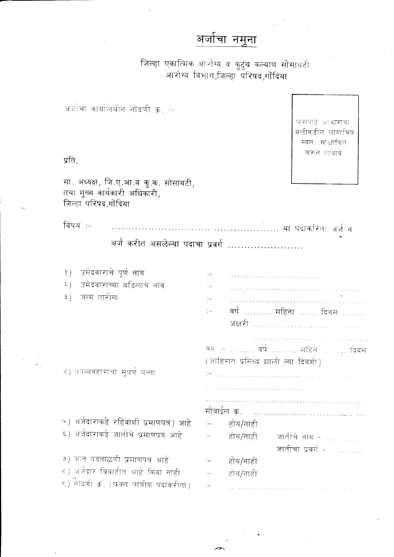## अर्जाचा नमुना

जिल्हा एकात्मिक आरोग्य व कुटुंब कल्याण सोसायटी,<br>आरोग्य विभाग,जिल्हा परिषद,गोंदिया

अर्जाचा कार्यालयीन नोंदणी क्र. :-

प्रति,

मा. अध्यक्ष, जि.ए.आ.व कु.क. सोसायटी,<br>तथा मुख्य कार्यकारी अधिकारी,<br>जिल्हा परिषद,गोंदिया

विषय :-

अर्ज करीत असलेल्या पदाचा प्रवर्ग .......................

| उमेदवाराचे पूर्ण नांव<br>१)              |                                    |
|------------------------------------------|------------------------------------|
| उमेदवाराच्या वडिलाचे नांव<br>२ )         |                                    |
| जन्म तारीख<br>३)                         |                                    |
|                                          | वर्षः महिनाः विवसः<br>$\sim$       |
|                                          | अक्षरी                             |
|                                          |                                    |
|                                          | वय <b>ः  वर्ष</b> महिने   दिवस     |
|                                          | (जाहिरात प्रसिध्द झाली त्या दिवशी) |
| ४) पत्रव्यवहाराचा सूंपर्ण पत्ता          |                                    |
|                                          |                                    |
|                                          |                                    |
|                                          | मोबाईल क्र.                        |
| ५) अर्जदाराकडे रहिवाशी प्रमाणपत्र) आहे   | होय/नाही                           |
| ६) अर्जदाराकडे जातीचे प्रमाणपत्र आहे     | होय/नाही<br>जातीचे नांव -          |
|                                          | जातीचा प्रवर्ग -                   |
| ७) जात पडताळणी प्रमाणपत्र आहे            | होय/नाही                           |
| ८) अर्जवार विवाहीत आहे किंवा नाही        | होय/नाही                           |
| ९) नोंदणी क्रं. (फक्त तांत्रीक पदाकरीता) |                                    |
|                                          |                                    |

पासपाट आकाराचा अलीकडील छायाचित्र स्वतः सांक्षाकित करुन लावावे.